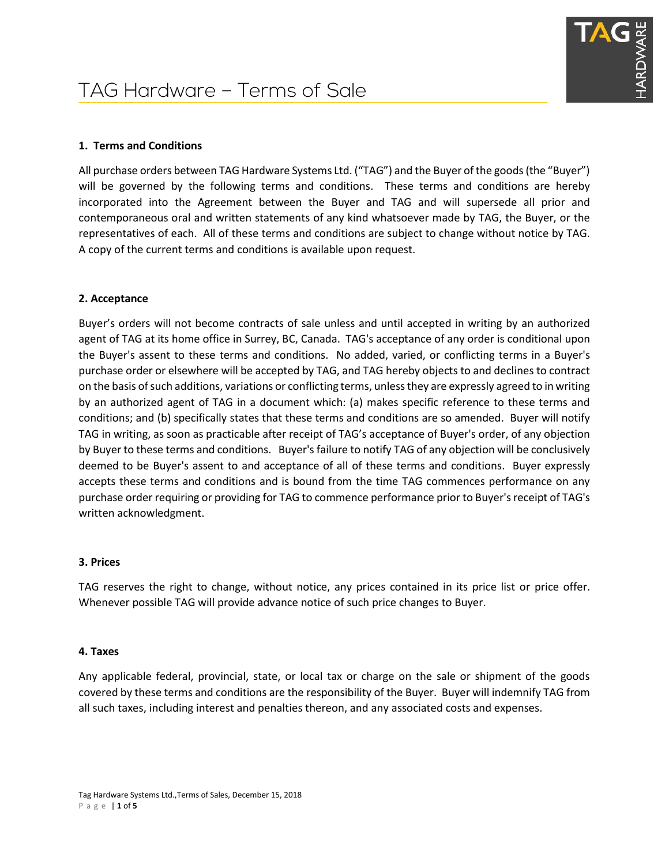# **1. Terms and Conditions**

All purchase orders between TAG Hardware Systems Ltd. ("TAG") and the Buyer of the goods (the "Buyer") will be governed by the following terms and conditions. These terms and conditions are hereby incorporated into the Agreement between the Buyer and TAG and will supersede all prior and contemporaneous oral and written statements of any kind whatsoever made by TAG, the Buyer, or the representatives of each. All of these terms and conditions are subject to change without notice by TAG. A copy of the current terms and conditions is available upon request.

# **2. Acceptance**

Buyer's orders will not become contracts of sale unless and until accepted in writing by an authorized agent of TAG at its home office in Surrey, BC, Canada. TAG's acceptance of any order is conditional upon the Buyer's assent to these terms and conditions. No added, varied, or conflicting terms in a Buyer's purchase order or elsewhere will be accepted by TAG, and TAG hereby objects to and declines to contract on the basis of such additions, variations or conflicting terms, unless they are expressly agreed to in writing by an authorized agent of TAG in a document which: (a) makes specific reference to these terms and conditions; and (b) specifically states that these terms and conditions are so amended. Buyer will notify TAG in writing, as soon as practicable after receipt of TAG's acceptance of Buyer's order, of any objection by Buyer to these terms and conditions. Buyer's failure to notify TAG of any objection will be conclusively deemed to be Buyer's assent to and acceptance of all of these terms and conditions. Buyer expressly accepts these terms and conditions and is bound from the time TAG commences performance on any purchase order requiring or providing for TAG to commence performance prior to Buyer's receipt of TAG's written acknowledgment.

## **3. Prices**

TAG reserves the right to change, without notice, any prices contained in its price list or price offer. Whenever possible TAG will provide advance notice of such price changes to Buyer.

## **4. Taxes**

Any applicable federal, provincial, state, or local tax or charge on the sale or shipment of the goods covered by these terms and conditions are the responsibility of the Buyer. Buyer will indemnify TAG from all such taxes, including interest and penalties thereon, and any associated costs and expenses.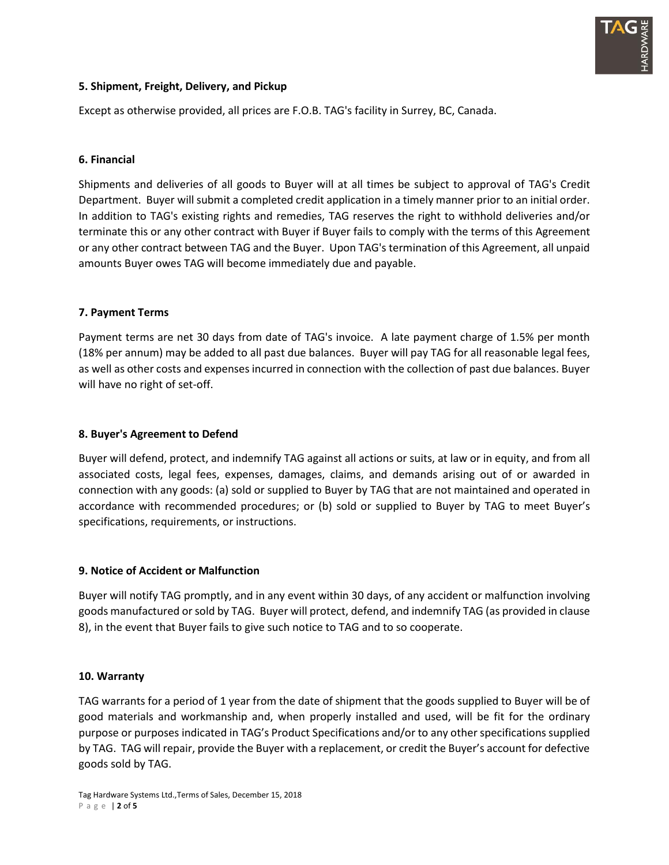

# **5. Shipment, Freight, Delivery, and Pickup**

Except as otherwise provided, all prices are F.O.B. TAG's facility in Surrey, BC, Canada.

## **6. Financial**

Shipments and deliveries of all goods to Buyer will at all times be subject to approval of TAG's Credit Department. Buyer will submit a completed credit application in a timely manner prior to an initial order. In addition to TAG's existing rights and remedies, TAG reserves the right to withhold deliveries and/or terminate this or any other contract with Buyer if Buyer fails to comply with the terms of this Agreement or any other contract between TAG and the Buyer. Upon TAG's termination of this Agreement, all unpaid amounts Buyer owes TAG will become immediately due and payable.

#### **7. Payment Terms**

Payment terms are net 30 days from date of TAG's invoice. A late payment charge of 1.5% per month (18% per annum) may be added to all past due balances. Buyer will pay TAG for all reasonable legal fees, as well as other costs and expenses incurred in connection with the collection of past due balances. Buyer will have no right of set-off.

## **8. Buyer's Agreement to Defend**

Buyer will defend, protect, and indemnify TAG against all actions or suits, at law or in equity, and from all associated costs, legal fees, expenses, damages, claims, and demands arising out of or awarded in connection with any goods: (a) sold or supplied to Buyer by TAG that are not maintained and operated in accordance with recommended procedures; or (b) sold or supplied to Buyer by TAG to meet Buyer's specifications, requirements, or instructions.

## **9. Notice of Accident or Malfunction**

Buyer will notify TAG promptly, and in any event within 30 days, of any accident or malfunction involving goods manufactured or sold by TAG. Buyer will protect, defend, and indemnify TAG (as provided in clause 8), in the event that Buyer fails to give such notice to TAG and to so cooperate.

## **10. Warranty**

TAG warrants for a period of 1 year from the date of shipment that the goods supplied to Buyer will be of good materials and workmanship and, when properly installed and used, will be fit for the ordinary purpose or purposes indicated in TAG's Product Specifications and/or to any other specifications supplied by TAG. TAG will repair, provide the Buyer with a replacement, or credit the Buyer's account for defective goods sold by TAG.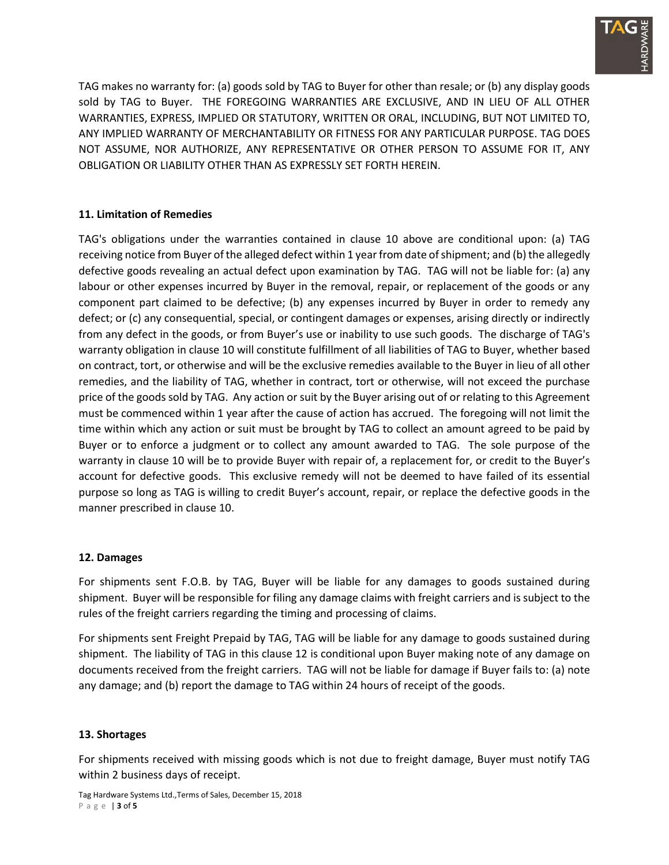

TAG makes no warranty for: (a) goods sold by TAG to Buyer for other than resale; or (b) any display goods sold by TAG to Buyer. THE FOREGOING WARRANTIES ARE EXCLUSIVE, AND IN LIEU OF ALL OTHER WARRANTIES, EXPRESS, IMPLIED OR STATUTORY, WRITTEN OR ORAL, INCLUDING, BUT NOT LIMITED TO, ANY IMPLIED WARRANTY OF MERCHANTABILITY OR FITNESS FOR ANY PARTICULAR PURPOSE. TAG DOES NOT ASSUME, NOR AUTHORIZE, ANY REPRESENTATIVE OR OTHER PERSON TO ASSUME FOR IT, ANY OBLIGATION OR LIABILITY OTHER THAN AS EXPRESSLY SET FORTH HEREIN.

# **11. Limitation of Remedies**

TAG's obligations under the warranties contained in clause 10 above are conditional upon: (a) TAG receiving notice from Buyer of the alleged defect within 1 year from date of shipment; and (b) the allegedly defective goods revealing an actual defect upon examination by TAG. TAG will not be liable for: (a) any labour or other expenses incurred by Buyer in the removal, repair, or replacement of the goods or any component part claimed to be defective; (b) any expenses incurred by Buyer in order to remedy any defect; or (c) any consequential, special, or contingent damages or expenses, arising directly or indirectly from any defect in the goods, or from Buyer's use or inability to use such goods. The discharge of TAG's warranty obligation in clause 10 will constitute fulfillment of all liabilities of TAG to Buyer, whether based on contract, tort, or otherwise and will be the exclusive remedies available to the Buyer in lieu of all other remedies, and the liability of TAG, whether in contract, tort or otherwise, will not exceed the purchase price of the goods sold by TAG. Any action or suit by the Buyer arising out of or relating to this Agreement must be commenced within 1 year after the cause of action has accrued. The foregoing will not limit the time within which any action or suit must be brought by TAG to collect an amount agreed to be paid by Buyer or to enforce a judgment or to collect any amount awarded to TAG. The sole purpose of the warranty in clause 10 will be to provide Buyer with repair of, a replacement for, or credit to the Buyer's account for defective goods. This exclusive remedy will not be deemed to have failed of its essential purpose so long as TAG is willing to credit Buyer's account, repair, or replace the defective goods in the manner prescribed in clause 10.

## **12. Damages**

For shipments sent F.O.B. by TAG, Buyer will be liable for any damages to goods sustained during shipment. Buyer will be responsible for filing any damage claims with freight carriers and is subject to the rules of the freight carriers regarding the timing and processing of claims.

For shipments sent Freight Prepaid by TAG, TAG will be liable for any damage to goods sustained during shipment. The liability of TAG in this clause 12 is conditional upon Buyer making note of any damage on documents received from the freight carriers. TAG will not be liable for damage if Buyer fails to: (a) note any damage; and (b) report the damage to TAG within 24 hours of receipt of the goods.

## **13. Shortages**

For shipments received with missing goods which is not due to freight damage, Buyer must notify TAG within 2 business days of receipt.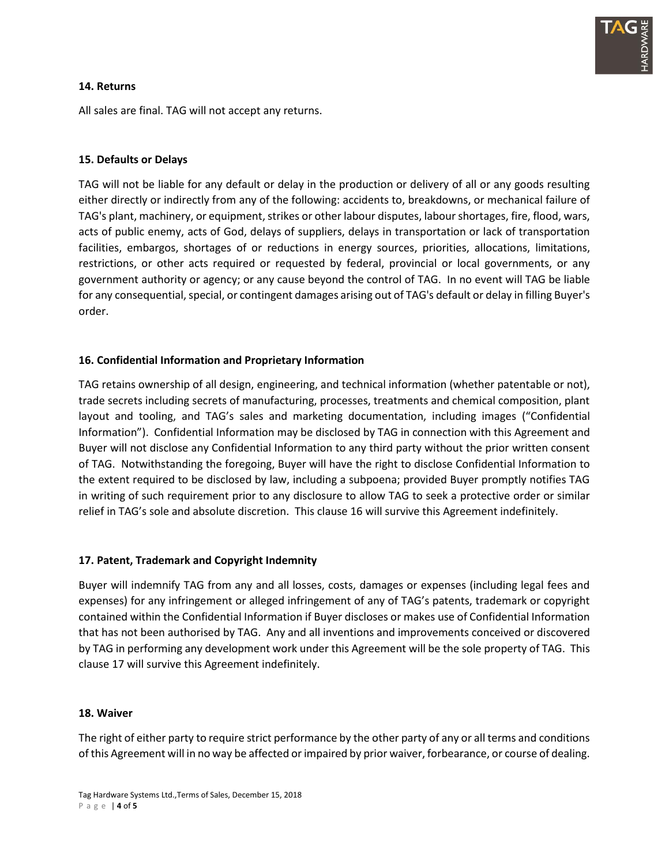

## **14. Returns**

All sales are final. TAG will not accept any returns.

## **15. Defaults or Delays**

TAG will not be liable for any default or delay in the production or delivery of all or any goods resulting either directly or indirectly from any of the following: accidents to, breakdowns, or mechanical failure of TAG's plant, machinery, or equipment, strikes or other labour disputes, labour shortages, fire, flood, wars, acts of public enemy, acts of God, delays of suppliers, delays in transportation or lack of transportation facilities, embargos, shortages of or reductions in energy sources, priorities, allocations, limitations, restrictions, or other acts required or requested by federal, provincial or local governments, or any government authority or agency; or any cause beyond the control of TAG. In no event will TAG be liable for any consequential, special, or contingent damages arising out of TAG's default or delay in filling Buyer's order.

## **16. Confidential Information and Proprietary Information**

TAG retains ownership of all design, engineering, and technical information (whether patentable or not), trade secrets including secrets of manufacturing, processes, treatments and chemical composition, plant layout and tooling, and TAG's sales and marketing documentation, including images ("Confidential Information"). Confidential Information may be disclosed by TAG in connection with this Agreement and Buyer will not disclose any Confidential Information to any third party without the prior written consent of TAG. Notwithstanding the foregoing, Buyer will have the right to disclose Confidential Information to the extent required to be disclosed by law, including a subpoena; provided Buyer promptly notifies TAG in writing of such requirement prior to any disclosure to allow TAG to seek a protective order or similar relief in TAG's sole and absolute discretion. This clause 16 will survive this Agreement indefinitely.

## **17. Patent, Trademark and Copyright Indemnity**

Buyer will indemnify TAG from any and all losses, costs, damages or expenses (including legal fees and expenses) for any infringement or alleged infringement of any of TAG's patents, trademark or copyright contained within the Confidential Information if Buyer discloses or makes use of Confidential Information that has not been authorised by TAG. Any and all inventions and improvements conceived or discovered by TAG in performing any development work under this Agreement will be the sole property of TAG. This clause 17 will survive this Agreement indefinitely.

#### **18. Waiver**

The right of either party to require strict performance by the other party of any or all terms and conditions of this Agreement will in no way be affected or impaired by prior waiver, forbearance, or course of dealing.